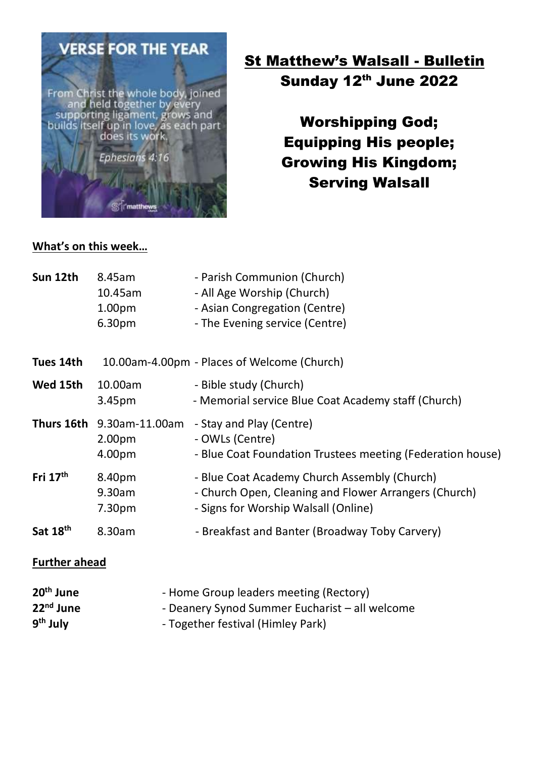

# **St Matthew's Walsall - Bulletin** Sunday 12th June 2022

Worshipping God; Equipping His people; Growing His Kingdom; Serving Walsall

#### **What's on this week…**

| Sun 12th                                                               | 8.45am<br>10.45am<br>1.00 <sub>pm</sub><br>6.30pm | - Parish Communion (Church)<br>- All Age Worship (Church)<br>- Asian Congregation (Centre)<br>- The Evening service (Centre)                  |
|------------------------------------------------------------------------|---------------------------------------------------|-----------------------------------------------------------------------------------------------------------------------------------------------|
| Tues 14th                                                              | 10.00am-4.00pm - Places of Welcome (Church)       |                                                                                                                                               |
| Wed 15th                                                               | 10.00am<br>3.45 <sub>pm</sub>                     | - Bible study (Church)<br>- Memorial service Blue Coat Academy staff (Church)                                                                 |
|                                                                        | Thurs 16th 9.30am-11.00am<br>2.00pm<br>4.00pm     | - Stay and Play (Centre)<br>- OWLs (Centre)<br>- Blue Coat Foundation Trustees meeting (Federation house)                                     |
| Fri $17th$                                                             | 8.40pm<br>9.30am<br>7.30pm                        | - Blue Coat Academy Church Assembly (Church)<br>- Church Open, Cleaning and Flower Arrangers (Church)<br>- Signs for Worship Walsall (Online) |
| Sat 18th                                                               | 8.30am                                            | - Breakfast and Banter (Broadway Toby Carvery)                                                                                                |
| <b>Further ahead</b>                                                   |                                                   |                                                                                                                                               |
| 20 <sup>th</sup> June<br>22 <sup>nd</sup> June<br>9 <sup>th</sup> July |                                                   | - Home Group leaders meeting (Rectory)<br>- Deanery Synod Summer Eucharist - all welcome<br>- Together festival (Himley Park)                 |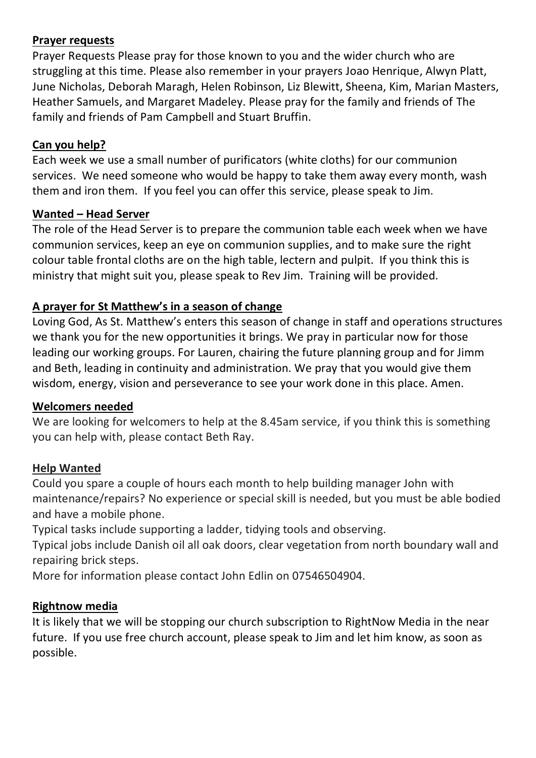#### **Prayer requests**

Prayer Requests Please pray for those known to you and the wider church who are struggling at this time. Please also remember in your prayers Joao Henrique, Alwyn Platt, June Nicholas, Deborah Maragh, Helen Robinson, Liz Blewitt, Sheena, Kim, Marian Masters, Heather Samuels, and Margaret Madeley. Please pray for the family and friends of The family and friends of Pam Campbell and Stuart Bruffin.

# **Can you help?**

Each week we use a small number of purificators (white cloths) for our communion services. We need someone who would be happy to take them away every month, wash them and iron them. If you feel you can offer this service, please speak to Jim.

## **Wanted – Head Server**

The role of the Head Server is to prepare the communion table each week when we have communion services, keep an eye on communion supplies, and to make sure the right colour table frontal cloths are on the high table, lectern and pulpit. If you think this is ministry that might suit you, please speak to Rev Jim. Training will be provided.

# **A prayer for St Matthew's in a season of change**

Loving God, As St. Matthew's enters this season of change in staff and operations structures we thank you for the new opportunities it brings. We pray in particular now for those leading our working groups. For Lauren, chairing the future planning group and for Jimm and Beth, leading in continuity and administration. We pray that you would give them wisdom, energy, vision and perseverance to see your work done in this place. Amen.

## **Welcomers needed**

We are looking for welcomers to help at the 8.45am service, if you think this is something you can help with, please contact Beth Ray.

## **Help Wanted**

Could you spare a couple of hours each month to help building manager John with maintenance/repairs? No experience or special skill is needed, but you must be able bodied and have a mobile phone.

Typical tasks include supporting a ladder, tidying tools and observing.

Typical jobs include Danish oil all oak doors, clear vegetation from north boundary wall and repairing brick steps.

More for information please contact John Edlin on 07546504904.

## **Rightnow media**

It is likely that we will be stopping our church subscription to RightNow Media in the near future. If you use free church account, please speak to Jim and let him know, as soon as possible.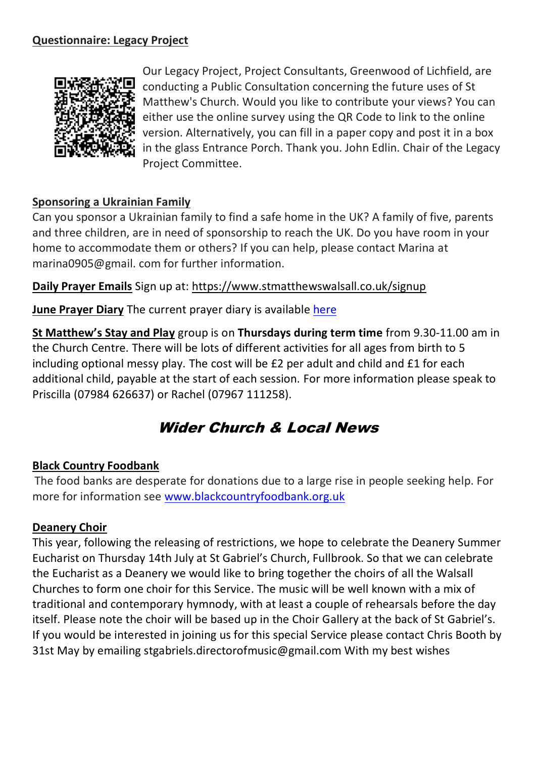#### **Questionnaire: Legacy Project**



Our Legacy Project, Project Consultants, Greenwood of Lichfield, are conducting a Public Consultation concerning the future uses of St Matthew's Church. Would you like to contribute your views? You can either use the online survey using the QR Code to link to the online version. Alternatively, you can fill in a paper copy and post it in a box in the glass Entrance Porch. Thank you. John Edlin. Chair of the Legacy Project Committee.

#### **Sponsoring a Ukrainian Family**

Can you sponsor a Ukrainian family to find a safe home in the UK? A family of five, parents and three children, are in need of sponsorship to reach the UK. Do you have room in your home to accommodate them or others? If you can help, please contact Marina at marina0905@gmail. com for further information.

#### **Daily Prayer Emails** Sign up at:<https://www.stmatthewswalsall.co.uk/signup>

**June Prayer Diary** The current prayer diary is available [here](https://www.stmatthewswalsall.co.uk/wp-content/uploads/2022/05/June-2022-prayer-diary.pdf)

**St Matthew's Stay and Play** group is on **Thursdays during term time** from 9.30-11.00 am in the Church Centre. There will be lots of different activities for all ages from birth to 5 including optional messy play. The cost will be £2 per adult and child and £1 for each additional child, payable at the start of each session. For more information please speak to Priscilla (07984 626637) or Rachel (07967 111258).

# Wider Church & Local News

#### **Black Country Foodbank**

The food banks are desperate for donations due to a large rise in people seeking help. For more for information see [www.blackcountryfoodbank.org.uk](http://www.blackcountryfoodbank.org.uk/)

#### **Deanery Choir**

This year, following the releasing of restrictions, we hope to celebrate the Deanery Summer Eucharist on Thursday 14th July at St Gabriel's Church, Fullbrook. So that we can celebrate the Eucharist as a Deanery we would like to bring together the choirs of all the Walsall Churches to form one choir for this Service. The music will be well known with a mix of traditional and contemporary hymnody, with at least a couple of rehearsals before the day itself. Please note the choir will be based up in the Choir Gallery at the back of St Gabriel's. If you would be interested in joining us for this special Service please contact Chris Booth by 31st May by emailing stgabriels.directorofmusic@gmail.com With my best wishes